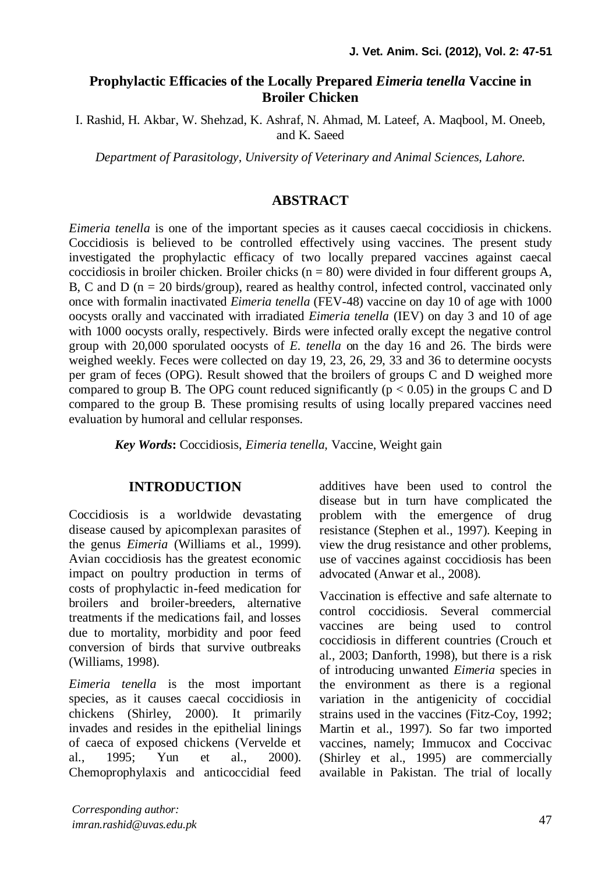# **Prophylactic Efficacies of the Locally Prepared** *Eimeria tenella* **Vaccine in Broiler Chicken**

I. Rashid, H. Akbar, W. Shehzad, K. Ashraf, N. Ahmad, M. Lateef, A. Maqbool, M. Oneeb, and K. Saeed

*Department of Parasitology, University of Veterinary and Animal Sciences, Lahore.*

# **ABSTRACT**

*Eimeria tenella* is one of the important species as it causes caecal coccidiosis in chickens. Coccidiosis is believed to be controlled effectively using vaccines. The present study investigated the prophylactic efficacy of two locally prepared vaccines against caecal coccidiosis in broiler chicken. Broiler chicks ( $n = 80$ ) were divided in four different groups A, B, C and D ( $n = 20$  birds/group), reared as healthy control, infected control, vaccinated only once with formalin inactivated *Eimeria tenella* (FEV-48) vaccine on day 10 of age with 1000 oocysts orally and vaccinated with irradiated *Eimeria tenella* (IEV) on day 3 and 10 of age with 1000 oocysts orally, respectively. Birds were infected orally except the negative control group with 20,000 sporulated oocysts of *E. tenella* on the day 16 and 26. The birds were weighed weekly. Feces were collected on day 19, 23, 26, 29, 33 and 36 to determine oocysts per gram of feces (OPG). Result showed that the broilers of groups C and D weighed more compared to group B. The OPG count reduced significantly ( $p < 0.05$ ) in the groups C and D compared to the group B. These promising results of using locally prepared vaccines need evaluation by humoral and cellular responses.

*Key Words***:** Coccidiosis, *Eimeria tenella,* Vaccine, Weight gain

## **INTRODUCTION**

Coccidiosis is a worldwide devastating disease caused by apicomplexan parasites of the genus *Eimeria* (Williams [et al., 1999\)](#page-4-0). Avian coccidiosis has the greatest economic impact on poultry production in terms of costs of prophylactic in-feed medication for broilers and broiler-breeders alternative treatments if the medications fail, and losses due to mortality, morbidity and poor feed conversion of birds that survive outbreaks [\(Williams, 1998\)](#page-4-1).

*Eimeria tenella* is the most important species, as it causes caecal coccidiosis in chickens [\(Shirley, 2000\)](#page-3-0). It primarily invades and resides in the epithelial linings of caeca of exposed chickens [\(Vervelde et](#page-3-1)  [al., 1995;](#page-3-1) [Yun et al., 2000\)](#page-4-2). Chemoprophylaxis and anticoccidial feed additives have been used to control the disease but in turn have complicated the problem with the emergence of drug resistance [\(Stephen et al., 1997\)](#page-3-2). Keeping in view the drug resistance and other problems, use of vaccines against coccidiosis has been advocated [\(Anwar et al., 2008\)](#page-3-3).

Vaccination is effective and safe alternate to control coccidiosis. Several commercial vaccines are being used to control coccidiosis in different countries [\(Crouch et](#page-3-4)  [al., 2003;](#page-3-4) [Danforth, 1998\)](#page-3-5), but there is a risk of introducing unwanted *Eimeria* species in the environment as there is a regional variation in the antigenicity of coccidial strains used in the vaccines [\(Fitz-Coy, 1992;](#page-3-6) [Martin et al., 1997\)](#page-3-7). So far two imported vaccines, namely; Immucox and Coccivac [\(Shirley et al., 1995\)](#page-3-8) are commercially available in Pakistan. The trial of locally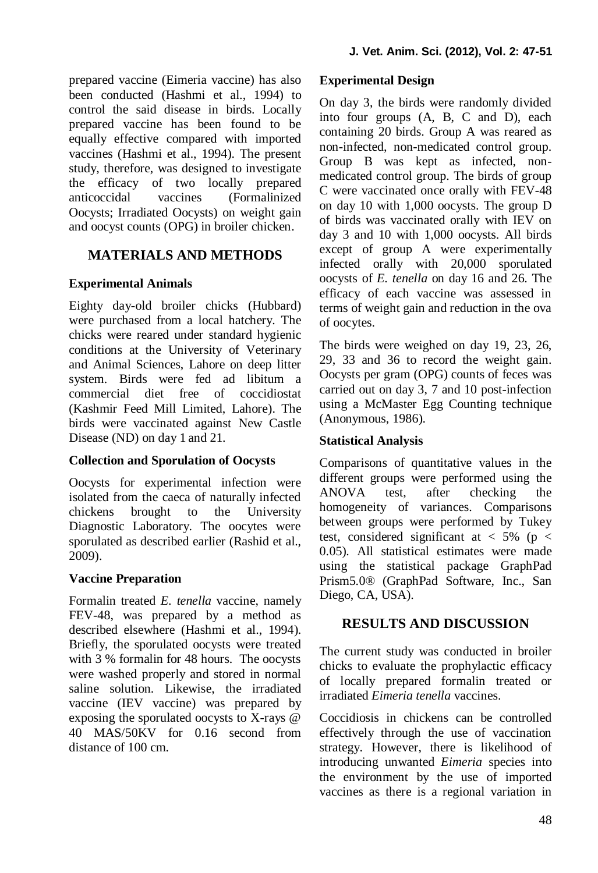prepared vaccine (Eimeria vaccine) has also been conducted [\(Hashmi et al., 1994\)](#page-3-9) to control the said disease in birds. Locally prepared vaccine has been found to be equally effective compared with imported vaccines [\(Hashmi et al., 1994\)](#page-3-9). The present study, therefore, was designed to investigate the efficacy of two locally prepared anticoccidal vaccines (Formalinized Oocysts; Irradiated Oocysts) on weight gain and oocyst counts (OPG) in broiler chicken.

## **MATERIALS AND METHODS**

### **Experimental Animals**

Eighty day-old broiler chicks (Hubbard) were purchased from a local hatchery. The chicks were reared under standard hygienic conditions at the University of Veterinary and Animal Sciences, Lahore on deep litter system. Birds were fed ad libitum a commercial diet free of coccidiostat (Kashmir Feed Mill Limited, Lahore). The birds were vaccinated against New Castle Disease (ND) on day 1 and 21.

## **Collection and Sporulation of Oocysts**

Oocysts for experimental infection were isolated from the caeca of naturally infected chickens brought to the University Diagnostic Laboratory. The oocytes were sporulated as described earlier [\(Rashid et al.,](#page-3-10)  [2009\)](#page-3-10).

### **Vaccine Preparation**

Formalin treated *E. tenella* vaccine, namely FEV-48, was prepared by a method as described elsewhere [\(Hashmi et al., 1994\)](#page-3-9). Briefly, the sporulated oocysts were treated with 3 % formalin for 48 hours. The oocysts were washed properly and stored in normal saline solution. Likewise, the irradiated vaccine (IEV vaccine) was prepared by exposing the sporulated oocysts to X-rays @ 40 MAS/50KV for 0.16 second from distance of 100 cm.

### **Experimental Design**

On day 3, the birds were randomly divided into four groups (A, B, C and D), each containing 20 birds. Group A was reared as non-infected, non-medicated control group. Group B was kept as infected, nonmedicated control group. The birds of group C were vaccinated once orally with FEV-48 on day 10 with 1,000 oocysts. The group D of birds was vaccinated orally with IEV on day 3 and 10 with 1,000 oocysts. All birds except of group A were experimentally infected orally with 20,000 sporulated oocysts of *E. tenella* on day 16 and 26. The efficacy of each vaccine was assessed in terms of weight gain and reduction in the ova of oocytes.

The birds were weighed on day 19, 23, 26, 29, 33 and 36 to record the weight gain. Oocysts per gram (OPG) counts of feces was carried out on day 3, 7 and 10 post-infection using a McMaster Egg Counting technique [\(Anonymous, 1986\)](#page-3-11).

### **Statistical Analysis**

Comparisons of quantitative values in the different groups were performed using the ANOVA test, after checking the homogeneity of variances. Comparisons between groups were performed by Tukey test, considered significant at  $< 5\%$  (p  $<$ 0.05). All statistical estimates were made using the statistical package GraphPad Prism5.0® (GraphPad Software, Inc., San Diego, CA, USA).

## **RESULTS AND DISCUSSION**

The current study was conducted in broiler chicks to evaluate the prophylactic efficacy of locally prepared formalin treated or irradiated *Eimeria tenella* vaccines.

Coccidiosis in chickens can be controlled effectively through the use of vaccination strategy. However, there is likelihood of introducing unwanted *Eimeria* species into the environment by the use of imported vaccines as there is a regional variation in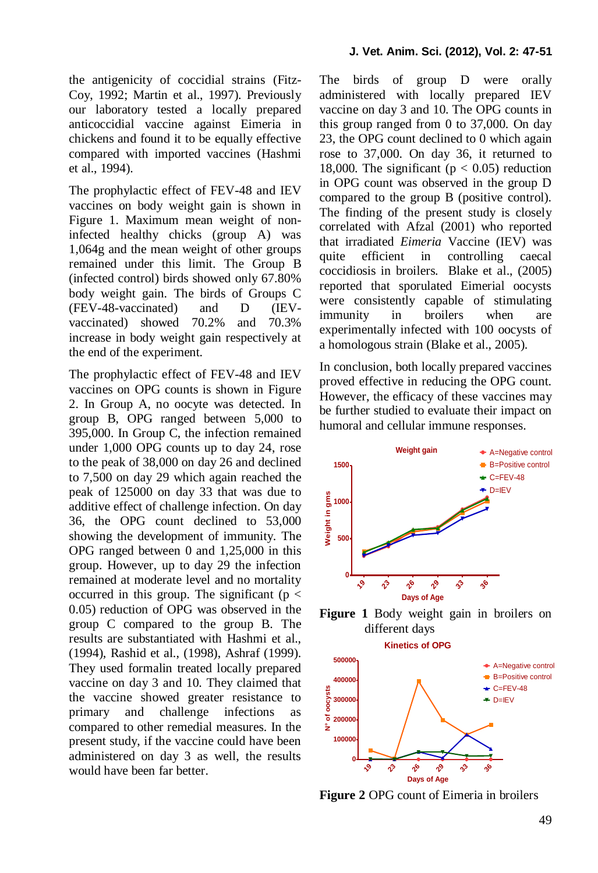the antigenicity of coccidial strains [\(Fitz-](#page-3-6)[Coy, 1992;](#page-3-6) [Martin et al., 1997\)](#page-3-7). Previously our laboratory tested a locally prepared anticoccidial vaccine against Eimeria in chickens and found it to be equally effective compared with imported vaccines [\(Hashmi](#page-3-9)  [et al., 1994\)](#page-3-9).

The prophylactic effect of FEV-48 and IEV vaccines on body weight gain is shown in Figure 1. Maximum mean weight of noninfected healthy chicks (group A) was 1,064g and the mean weight of other groups remained under this limit. The Group B (infected control) birds showed only 67.80% body weight gain. The birds of Groups C (FEV-48-vaccinated) and D (IEVvaccinated) showed 70.2% and 70.3% increase in body weight gain respectively at the end of the experiment.

The prophylactic effect of FEV-48 and IEV vaccines on OPG counts is shown in Figure 2. In Group A, no oocyte was detected. In group B, OPG ranged between 5,000 to 395,000. In Group C, the infection remained under 1,000 OPG counts up to day 24, rose to the peak of 38,000 on day 26 and declined to 7,500 on day 29 which again reached the peak of 125000 on day 33 that was due to additive effect of challenge infection. On day 36, the OPG count declined to 53,000 showing the development of immunity. The OPG ranged between 0 and 1,25,000 in this group. However, up to day 29 the infection remained at moderate level and no mortality occurred in this group. The significant ( $p <$ 0.05) reduction of OPG was observed in the group C compared to the group B. The results are substantiated with Hashmi et al., (1994), Rashid et al., (1998), Ashraf (1999). They used formalin treated locally prepared vaccine on day 3 and 10. They claimed that the vaccine showed greater resistance to primary and challenge infections as compared to other remedial measures. In the present study, if the vaccine could have been administered on day 3 as well, the results would have been far better.

The birds of group D were orally administered with locally prepared IEV vaccine on day 3 and 10. The OPG counts in this group ranged from 0 to 37,000. On day 23, the OPG count declined to 0 which again rose to 37,000. On day 36, it returned to 18,000. The significant ( $p < 0.05$ ) reduction in OPG count was observed in the group D compared to the group B (positive control). The finding of the present study is closely correlated with Afzal (2001) who reported that irradiated *Eimeria* Vaccine (IEV) was quite efficient in controlling caecal coccidiosis in broilers. Blake et al., (2005) reported that sporulated Eimerial oocysts were consistently capable of stimulating immunity in broilers when are experimentally infected with 100 oocysts of a homologous strain [\(Blake et al., 2005\)](#page-3-12).

In conclusion, both locally prepared vaccines proved effective in reducing the OPG count. However, the efficacy of these vaccines may be further studied to evaluate their impact on humoral and cellular immune responses.



**Figure 1** Body weight gain in broilers on different days



**Figure 2** OPG count of Eimeria in broilers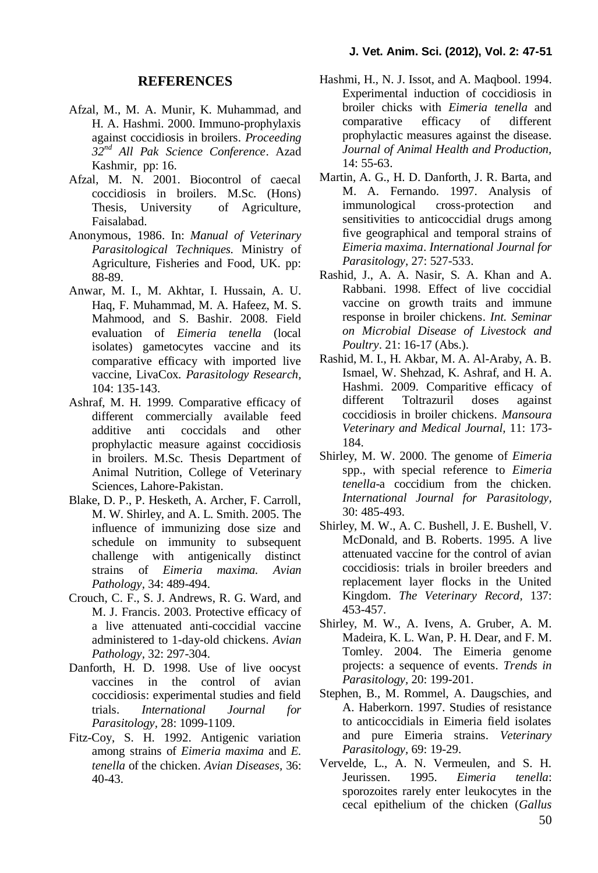#### **REFERENCES**

- Afzal, M., M. A. Munir, K. Muhammad, and H. A. Hashmi. 2000. Immuno-prophylaxis against coccidiosis in broilers. *Proceeding 32nd All Pak Science Conference*. Azad Kashmir, pp: 16.
- Afzal, M. N. 2001. Biocontrol of caecal coccidiosis in broilers. M.Sc. (Hons) Thesis, University of Agriculture, Faisalabad.
- <span id="page-3-11"></span>Anonymous, 1986. In: *Manual of Veterinary Parasitological Techniques.* Ministry of Agriculture, Fisheries and Food, UK. pp: 88-89.
- <span id="page-3-3"></span>Anwar, M. I., M. Akhtar, I. Hussain, A. U. Haq, F. Muhammad, M. A. Hafeez, M. S. Mahmood, and S. Bashir. 2008. Field evaluation of *Eimeria tenella* (local isolates) gametocytes vaccine and its comparative efficacy with imported live vaccine, LivaCox. *Parasitology Research,* 104: 135-143.
- Ashraf, M. H. 1999. Comparative efficacy of different commercially available feed<br>additive anti coccidals and other additive anti coccidals and other prophylactic measure against coccidiosis in broilers. M.Sc. Thesis Department of Animal Nutrition, College of Veterinary Sciences, Lahore-Pakistan.
- <span id="page-3-12"></span>Blake, D. P., P. Hesketh, A. Archer, F. Carroll, M. W. Shirley, and A. L. Smith. 2005. The influence of immunizing dose size and schedule on immunity to subsequent challenge with antigenically distinct strains of *Eimeria maxima. Avian Pathology,* 34: 489-494.
- <span id="page-3-4"></span>Crouch, C. F., S. J. Andrews, R. G. Ward, and M. J. Francis. 2003. Protective efficacy of a live attenuated anti-coccidial vaccine administered to 1-day-old chickens. *Avian Pathology,* 32: 297-304.
- <span id="page-3-5"></span>Danforth, H. D. 1998. Use of live oocyst vaccines in the control of avian coccidiosis: experimental studies and field trials. *International Journal for Parasitology,* 28: 1099-1109.
- <span id="page-3-6"></span>Fitz-Coy, S. H. 1992. Antigenic variation among strains of *Eimeria maxima* and *E. tenella* of the chicken. *Avian Diseases,* 36: 40-43.
- <span id="page-3-9"></span>Hashmi, H., N. J. Issot, and A. Maqbool. 1994. Experimental induction of coccidiosis in broiler chicks with *Eimeria tenella* and comparative efficacy of different prophylactic measures against the disease. *Journal of Animal Health and Production,* 14: 55-63.
- <span id="page-3-7"></span>Martin, A. G., H. D. Danforth, J. R. Barta, and M. A. Fernando. 1997. Analysis of immunological cross-protection and sensitivities to anticoccidial drugs among five geographical and temporal strains of *Eimeria maxima*. *International Journal for Parasitology,* 27: 527-533.
- Rashid, J., A. A. Nasir, S. A. Khan and A. Rabbani. 1998. Effect of live coccidial vaccine on growth traits and immune response in broiler chickens. *Int. Seminar on Microbial Disease of Livestock and Poultry*. 21: 16-17 (Abs.).
- <span id="page-3-10"></span>Rashid, M. I., H. Akbar, M. A. Al-Araby, A. B. Ismael, W. Shehzad, K. Ashraf, and H. A. Hashmi. 2009. Comparitive efficacy of different Toltrazuril doses against coccidiosis in broiler chickens. *Mansoura Veterinary and Medical Journal,* 11: 173- 184.
- <span id="page-3-0"></span>Shirley, M. W. 2000. The genome of *Eimeria* spp., with special reference to *Eimeria tenella*-a coccidium from the chicken. *International Journal for Parasitology,* 30: 485-493.
- <span id="page-3-8"></span>Shirley, M. W., A. C. Bushell, J. E. Bushell, V. McDonald, and B. Roberts. 1995. A live attenuated vaccine for the control of avian coccidiosis: trials in broiler breeders and replacement layer flocks in the United Kingdom. *The Veterinary Record,* 137: 453-457.
- Shirley, M. W., A. Ivens, A. Gruber, A. M. Madeira, K. L. Wan, P. H. Dear, and F. M. Tomley. 2004. The Eimeria genome projects: a sequence of events. *Trends in Parasitology,* 20: 199-201.
- <span id="page-3-2"></span>Stephen, B., M. Rommel, A. Daugschies, and A. Haberkorn. 1997. Studies of resistance to anticoccidials in Eimeria field isolates and pure Eimeria strains. *Veterinary Parasitology,* 69: 19-29.
- <span id="page-3-1"></span>Vervelde, L., A. N. Vermeulen, and S. H. Jeurissen. 1995. *Eimeria tenella*: sporozoites rarely enter leukocytes in the cecal epithelium of the chicken (*Gallus*